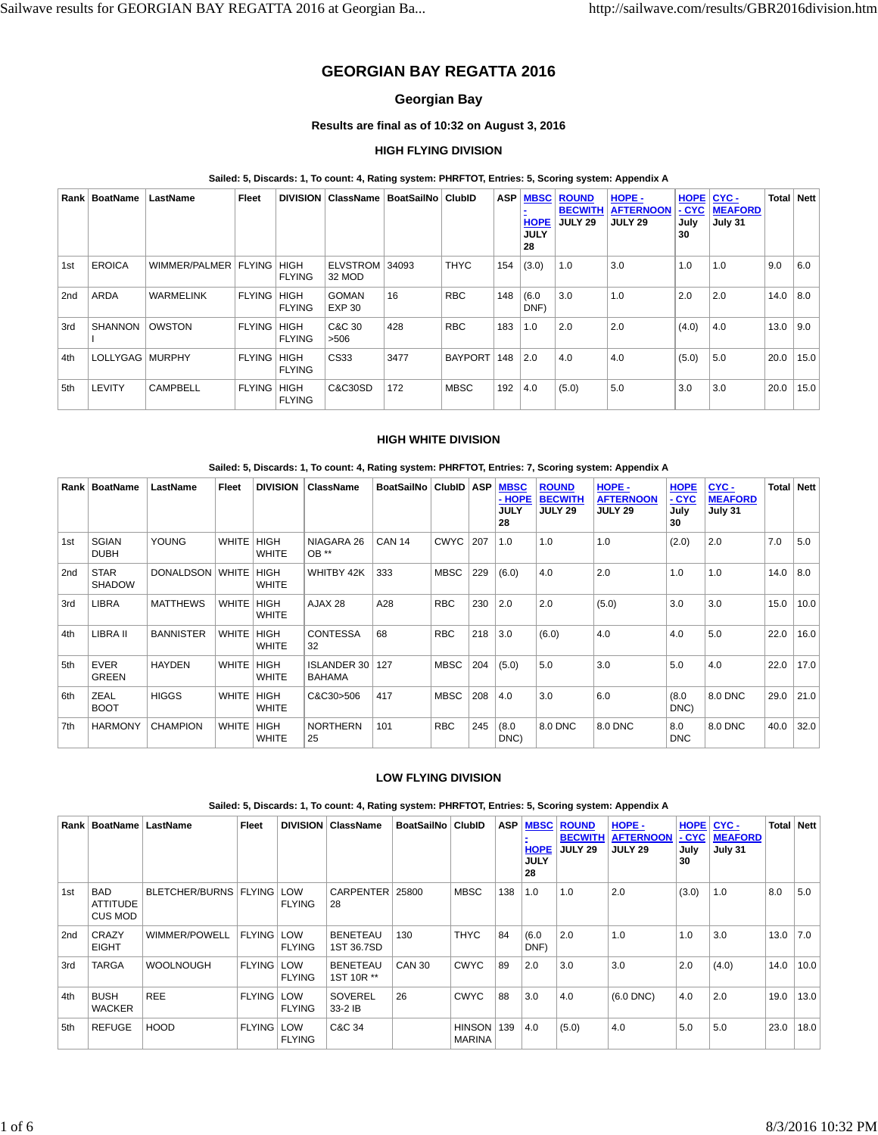# **GEORGIAN BAY REGATTA 2016**

# **Georgian Bay**

# **Results are final as of 10:32 on August 3, 2016**

# **HIGH FLYING DIVISION**

## **Sailed: 5, Discards: 1, To count: 4, Rating system: PHRFTOT, Entries: 5, Scoring system: Appendix A**

|     | Rank   BoatName   | LastName         | Fleet         | <b>DIVISION</b>              | ∣ ClassName ∣                 | BoatSailNo   ClubID |                | <b>ASP</b> | <b>MBSC</b><br><b>HOPE</b><br><b>JULY</b><br>28 | <b>ROUND</b><br><b>BECWITH</b><br><b>JULY 29</b> | HOPE -<br><b>AFTERNOON</b><br><b>JULY 29</b> | <b>HOPE</b><br>$-CYC$<br>July<br>30 | CYC-<br><b>MEAFORD</b><br>July 31 | <b>Total</b> | <b>Nett</b> |
|-----|-------------------|------------------|---------------|------------------------------|-------------------------------|---------------------|----------------|------------|-------------------------------------------------|--------------------------------------------------|----------------------------------------------|-------------------------------------|-----------------------------------|--------------|-------------|
| 1st | <b>EROICA</b>     | WIMMER/PALMER    | <b>FLYING</b> | <b>HIGH</b><br><b>FLYING</b> | <b>ELVSTROM</b><br>32 MOD     | 34093               | <b>THYC</b>    | 154        | (3.0)                                           | 1.0                                              | 3.0                                          | 1.0                                 | 1.0                               | 9.0          | 6.0         |
| 2nd | <b>ARDA</b>       | <b>WARMELINK</b> | <b>FLYING</b> | <b>HIGH</b><br><b>FLYING</b> | <b>GOMAN</b><br><b>EXP 30</b> | 16                  | <b>RBC</b>     | 148        | (6.0)<br>DNF)                                   | 3.0                                              | 1.0                                          | 2.0                                 | 2.0                               | 14.0         | 8.0         |
| 3rd | <b>SHANNON</b>    | OWSTON           | <b>FLYING</b> | <b>HIGH</b><br><b>FLYING</b> | C&C 30<br>>506                | 428                 | <b>RBC</b>     | 183        | 1.0                                             | 2.0                                              | 2.0                                          | (4.0)                               | 4.0                               | 13.0         | 9.0         |
| 4th | LOLLYGAG   MURPHY |                  | <b>FLYING</b> | <b>HIGH</b><br><b>FLYING</b> | CS33                          | 3477                | <b>BAYPORT</b> | 148        | 2.0                                             | 4.0                                              | 4.0                                          | (5.0)                               | 5.0                               | 20.0         | 15.0        |
| 5th | <b>LEVITY</b>     | <b>CAMPBELL</b>  | <b>FLYING</b> | <b>HIGH</b><br><b>FLYING</b> | C&C30SD                       | 172                 | <b>MBSC</b>    | 192        | 4.0                                             | (5.0)                                            | 5.0                                          | 3.0                                 | 3.0                               | 20.0         | 15.0        |

#### **HIGH WHITE DIVISION**

## **Sailed: 5, Discards: 1, To count: 4, Rating system: PHRFTOT, Entries: 7, Scoring system: Appendix A**

| Rank | <b>BoatName</b>              | LastName         | Fleet        | <b>DIVISION</b>             | <b>ClassName</b>                    | <b>BoatSailNo</b> | <b>ClubID</b> | <b>ASP</b> | <b>MBSC</b><br>- HOPE<br><b>JULY</b><br>28 | <b>ROUND</b><br><b>BECWITH</b><br><b>JULY 29</b> | HOPE-<br><b>AFTERNOON</b><br><b>JULY 29</b> | <b>HOPE</b><br>- CYC<br>July<br>30 | CYC-<br><b>MEAFORD</b><br>July 31 |      | <b>Total Nett</b> |
|------|------------------------------|------------------|--------------|-----------------------------|-------------------------------------|-------------------|---------------|------------|--------------------------------------------|--------------------------------------------------|---------------------------------------------|------------------------------------|-----------------------------------|------|-------------------|
| 1st  | <b>SGIAN</b><br><b>DUBH</b>  | <b>YOUNG</b>     | <b>WHITE</b> | <b>HIGH</b><br><b>WHITE</b> | NIAGARA 26<br>$OB**$                | <b>CAN 14</b>     | <b>CWYC</b>   | 207        | 1.0                                        | 1.0                                              | 1.0                                         | (2.0)                              | 2.0                               | 7.0  | 5.0               |
| 2nd  | <b>STAR</b><br><b>SHADOW</b> | DONALDSON WHITE  |              | <b>HIGH</b><br><b>WHITE</b> | WHITBY 42K                          | 333               | <b>MBSC</b>   | 229        | (6.0)                                      | 4.0                                              | 2.0                                         | 1.0                                | 1.0                               | 14.0 | 8.0               |
| 3rd  | <b>LIBRA</b>                 | <b>MATTHEWS</b>  | <b>WHITE</b> | <b>HIGH</b><br><b>WHITE</b> | AJAX 28                             | A28               | <b>RBC</b>    | 230        | 2.0                                        | 2.0                                              | (5.0)                                       | 3.0                                | 3.0                               | 15.0 | 10.0              |
| 4th  | LIBRA II                     | <b>BANNISTER</b> | <b>WHITE</b> | <b>HIGH</b><br><b>WHITE</b> | <b>CONTESSA</b><br>32               | 68                | <b>RBC</b>    | 218        | 3.0                                        | (6.0)                                            | 4.0                                         | 4.0                                | 5.0                               | 22.0 | 16.0              |
| 5th  | <b>EVER</b><br><b>GREEN</b>  | <b>HAYDEN</b>    | <b>WHITE</b> | <b>HIGH</b><br><b>WHITE</b> | <b>ISLANDER 30</b><br><b>BAHAMA</b> | 127               | <b>MBSC</b>   | 204        | (5.0)                                      | 5.0                                              | 3.0                                         | 5.0                                | 4.0                               | 22.0 | 17.0              |
| 6th  | ZEAL<br><b>BOOT</b>          | <b>HIGGS</b>     | <b>WHITE</b> | <b>HIGH</b><br><b>WHITE</b> | C&C30>506                           | 417               | <b>MBSC</b>   | 208        | 4.0                                        | 3.0                                              | 6.0                                         | (8.0)<br>DNC)                      | 8.0 DNC                           | 29.0 | 21.0              |
| 7th  | <b>HARMONY</b>               | <b>CHAMPION</b>  | <b>WHITE</b> | <b>HIGH</b><br><b>WHITE</b> | <b>NORTHERN</b><br>25               | 101               | <b>RBC</b>    | 245        | (8.0)<br>DNC)                              | 8.0 DNC                                          | 8.0 DNC                                     | 8.0<br><b>DNC</b>                  | 8.0 DNC                           | 40.0 | 32.0              |

#### **LOW FLYING DIVISION**

**Sailed: 5, Discards: 1, To count: 4, Rating system: PHRFTOT, Entries: 5, Scoring system: Appendix A**

| Rank | <b>BoatName</b>                          | LastName                | Fleet             | <b>DIVISION</b>             | <b>ClassName</b>              | BoatSailNo    | <b>ClubID</b>        | <b>ASP</b> | <b>MBSC</b><br><b>HOPE</b><br><b>JULY</b><br>28 | <b>ROUND</b><br><b>BECWITH</b><br>JULY 29 | HOPE -<br><b>AFTERNOON</b><br><b>JULY 29</b> | <b>HOPE</b><br>$-CYC$<br>July<br>30 | CYC-<br><b>MEAFORD</b><br>July 31 | Total | <b>Nett</b> |
|------|------------------------------------------|-------------------------|-------------------|-----------------------------|-------------------------------|---------------|----------------------|------------|-------------------------------------------------|-------------------------------------------|----------------------------------------------|-------------------------------------|-----------------------------------|-------|-------------|
| 1st  | <b>BAD</b><br><b>ATTITUDE</b><br>CUS MOD | BLETCHER/BURNS   FLYING |                   | <b>LOW</b><br><b>FLYING</b> | CARPENTER<br>28               | 25800         | <b>MBSC</b>          | 138        | 1.0                                             | 1.0                                       | 2.0                                          | (3.0)                               | 1.0                               | 8.0   | 5.0         |
| 2nd  | CRAZY<br><b>EIGHT</b>                    | WIMMER/POWELL           | <b>FLYING LOW</b> | <b>FLYING</b>               | <b>BENETEAU</b><br>1ST 36.7SD | 130           | <b>THYC</b>          | 84         | (6.0)<br>DNF)                                   | 2.0                                       | 1.0                                          | 1.0                                 | 3.0                               | 13.0  | 7.0         |
| 3rd  | <b>TARGA</b>                             | <b>WOOLNOUGH</b>        | <b>FLYING</b>     | <b>LOW</b><br><b>FLYING</b> | <b>BENETEAU</b><br>1ST 10R ** | <b>CAN 30</b> | <b>CWYC</b>          | 89         | 2.0                                             | 3.0                                       | 3.0                                          | 2.0                                 | (4.0)                             | 14.0  | 10.0        |
| 4th  | <b>BUSH</b><br><b>WACKER</b>             | <b>REE</b>              | <b>FLYING LOW</b> | <b>FLYING</b>               | <b>SOVEREL</b><br>33-2 IB     | 26            | <b>CWYC</b>          | 88         | 3.0                                             | 4.0                                       | $(6.0$ DNC $)$                               | 4.0                                 | 2.0                               | 19.0  | 13.0        |
| 5th  | <b>REFUGE</b>                            | <b>HOOD</b>             | <b>FLYING LOW</b> | <b>FLYING</b>               | C&C 34                        |               | HINSON 139<br>MARINA |            | 4.0                                             | (5.0)                                     | 4.0                                          | 5.0                                 | 5.0                               | 23.0  | 18.0        |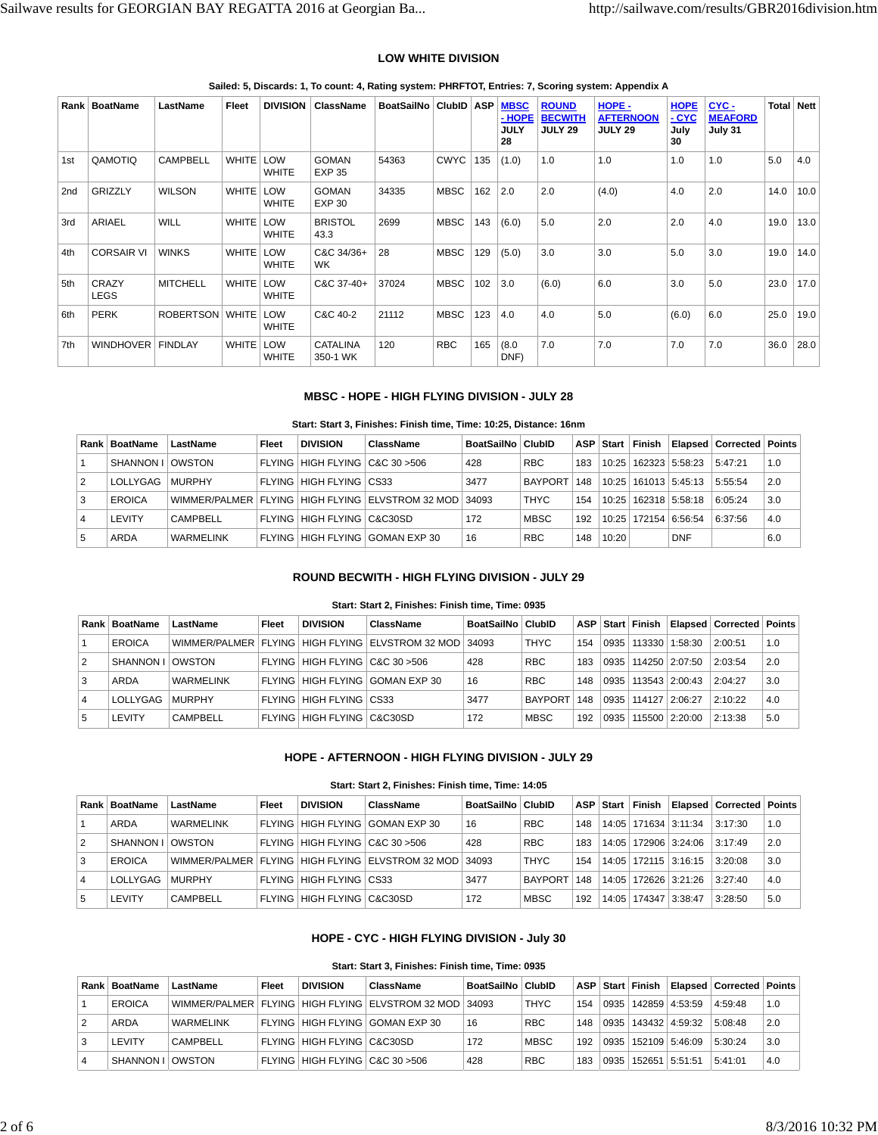## **LOW WHITE DIVISION**

| Rank | <b>BoatName</b>      | LastName            | Fleet        | <b>DIVISION</b>            | <b>ClassName</b>              | BoatSailNo   ClubID |             | <b>ASP</b> | <b>MBSC</b><br>$-HOPE$<br><b>JULY</b><br>28 | <b>ROUND</b><br><b>BECWITH</b><br><b>JULY 29</b> | HOPE -<br><b>AFTERNOON</b><br><b>JULY 29</b> | <b>HOPE</b><br>$-CYC$<br>July<br>30 | CYC-<br><b>MEAFORD</b><br>July 31 | Total | <b>Nett</b> |
|------|----------------------|---------------------|--------------|----------------------------|-------------------------------|---------------------|-------------|------------|---------------------------------------------|--------------------------------------------------|----------------------------------------------|-------------------------------------|-----------------------------------|-------|-------------|
| 1st  | QAMOTIQ              | <b>CAMPBELL</b>     | <b>WHITE</b> | <b>LOW</b><br><b>WHITE</b> | <b>GOMAN</b><br><b>EXP 35</b> | 54363               | <b>CWYC</b> | 135        | (1.0)                                       | 1.0                                              | 1.0                                          | 1.0                                 | 1.0                               | 5.0   | 4.0         |
| 2nd  | <b>GRIZZLY</b>       | <b>WILSON</b>       | <b>WHITE</b> | LOW<br><b>WHITE</b>        | <b>GOMAN</b><br><b>EXP 30</b> | 34335               | <b>MBSC</b> | 162        | 2.0                                         | 2.0                                              | (4.0)                                        | 4.0                                 | 2.0                               | 14.0  | 10.0        |
| 3rd  | <b>ARIAEL</b>        | <b>WILL</b>         | WHITE LOW    | <b>WHITE</b>               | <b>BRISTOL</b><br>43.3        | 2699                | <b>MBSC</b> | 143        | (6.0)                                       | 5.0                                              | 2.0                                          | 2.0                                 | 4.0                               | 19.0  | 13.0        |
| 4th  | <b>CORSAIR VI</b>    | <b>WINKS</b>        | WHITE LOW    | <b>WHITE</b>               | C&C 34/36+<br><b>WK</b>       | 28                  | <b>MBSC</b> | 129        | (5.0)                                       | 3.0                                              | 3.0                                          | 5.0                                 | 3.0                               | 19.0  | 14.0        |
| 5th  | CRAZY<br><b>LEGS</b> | <b>MITCHELL</b>     | <b>WHITE</b> | LOW<br><b>WHITE</b>        | C&C 37-40+                    | 37024               | <b>MBSC</b> | 102        | 3.0                                         | (6.0)                                            | 6.0                                          | 3.0                                 | 5.0                               | 23.0  | 17.0        |
| 6th  | <b>PERK</b>          | ROBERTSON WHITE LOW |              | <b>WHITE</b>               | C&C 40-2                      | 21112               | <b>MBSC</b> | 123        | 4.0                                         | 4.0                                              | 5.0                                          | (6.0)                               | 6.0                               | 25.0  | 19.0        |
| 7th  | <b>WINDHOVER</b>     | <b>FINDLAY</b>      | <b>WHITE</b> | <b>LOW</b><br><b>WHITE</b> | <b>CATALINA</b><br>350-1 WK   | 120                 | <b>RBC</b>  | 165        | (8.0)<br>DNF)                               | 7.0                                              | 7.0                                          | 7.0                                 | 7.0                               | 36.0  | 28.0        |

**Sailed: 5, Discards: 1, To count: 4, Rating system: PHRFTOT, Entries: 7, Scoring system: Appendix A**

## **MBSC - HOPE - HIGH FLYING DIVISION - JULY 28**

#### **Start: Start 3, Finishes: Finish time, Time: 10:25, Distance: 16nm**

|                | Rank   BoatName | LastName         | Fleet | <b>DIVISION</b>                 | ClassName                                              | BoatSailNo   ClubID |                | ASP. |       | Start Finish |                | ∣ Elapsed ∣ Corrected ∣ Points ∣ |     |
|----------------|-----------------|------------------|-------|---------------------------------|--------------------------------------------------------|---------------------|----------------|------|-------|--------------|----------------|----------------------------------|-----|
|                | SHANNON I I     | <b>OWSTON</b>    |       | FLYING HIGH FLYING C&C 30 > 506 |                                                        | 428                 | <b>RBC</b>     | 183  | 10:25 |              | 162323 5:58:23 | 5:47:21                          | 1.0 |
| $\overline{2}$ | LOLLYGAG        | <b>MURPHY</b>    |       | <b>FLYING HIGH FLYING CS33</b>  |                                                        | 3477                | <b>BAYPORT</b> | 148  | 10:25 |              | 161013 5:45:13 | 5:55:54                          | 2.0 |
| l 3            | <b>EROICA</b>   |                  |       |                                 | WIMMER/PALMER FLYING HIGH FLYING ELVSTROM 32 MOD 34093 |                     | <b>THYC</b>    | 154  | 10.25 |              | 162318 5:58:18 | 6:05:24                          | 3.0 |
|                | <b>LEVITY</b>   | CAMPBELL         |       | FLYING HIGH FLYING C&C30SD      |                                                        | 172                 | <b>MBSC</b>    | 192  | 10.25 |              | 172154 6:56:54 | 6:37:56                          | 4.0 |
| 5              | ARDA            | <b>WARMELINK</b> |       |                                 | FLYING HIGH FLYING GOMAN EXP 30                        | 16                  | <b>RBC</b>     | 148  | 10:20 |              | <b>DNF</b>     |                                  | 6.0 |

## **ROUND BECWITH - HIGH FLYING DIVISION - JULY 29**

#### **Start: Start 2, Finishes: Finish time, Time: 0935**

|   | ⊦Rank ∣ BoatName | LastName         | Fleet | <b>DIVISION</b>                 | ClassName                                          | BoatSailNo   ClubID |                | ASP |      | ∣Start Finish 1 |                         | Elapsed   Corrected   Points |     |
|---|------------------|------------------|-------|---------------------------------|----------------------------------------------------|---------------------|----------------|-----|------|-----------------|-------------------------|------------------------------|-----|
|   | EROICA           |                  |       |                                 | MIMMER/PALMER FLYING HIGH FLYING ELVSTROM 32 MOD I | 34093               | THYC           | 154 | 0935 | 113330          | 1:58:30                 | 2:00:51                      | 1.0 |
| 2 | SHANNON I        | <b>OWSTON</b>    |       | FLYING HIGH FLYING C&C 30 > 506 |                                                    | 428                 | <b>RBC</b>     | 183 |      |                 | 0935   114250   2:07:50 | 2:03:54                      | 2.0 |
| 3 | ARDA             | <b>WARMELINK</b> |       |                                 | FLYING HIGH FLYING   GOMAN EXP 30                  | 16                  | <b>RBC</b>     | 148 |      |                 | 0935 113543 2:00:43     | 2:04:27                      | 3.0 |
| 4 | LOLLYGAG         | <b>MURPHY</b>    |       | FLYING HIGH FLYING CS33         |                                                    | 3477                | <b>BAYPORT</b> | 148 |      |                 | 0935 114127 2:06:27     | 2:10:22                      | 4.0 |
| 5 | LEVITY           | <b>CAMPBELL</b>  |       | FLYING HIGH FLYING C&C30SD      |                                                    | 172                 | <b>MBSC</b>    | 192 | 0935 |                 | 115500 2:20:00          | 2:13:38                      | 5.0 |

## **HOPE - AFTERNOON - HIGH FLYING DIVISION - JULY 29**

#### **Start: Start 2, Finishes: Finish time, Time: 14:05**

|                | Rank   BoatName | LastName         | Fleet | <b>DIVISION</b>                | ClassName                                                      | BoatSailNo   ClubID |                | ASP | Start Finish I |                          | Elapsed   Corrected   Points |     |
|----------------|-----------------|------------------|-------|--------------------------------|----------------------------------------------------------------|---------------------|----------------|-----|----------------|--------------------------|------------------------------|-----|
|                | ARDA            | <b>WARMELINK</b> |       |                                | FLYING   HIGH FLYING   GOMAN EXP 30                            | 16                  | <b>RBC</b>     | 148 |                | 14:05   171634   3:11:34 | 3:17:30                      | 1.0 |
| $\overline{2}$ | SHANNON I       | OWSTON           |       | FLYING HIGH FLYING C&C 30 >506 |                                                                | 428                 | <b>RBC</b>     | 183 |                | 14:05   172906   3:24:06 | 3:17:49                      | 2.0 |
| 3              | EROICA          |                  |       |                                | WIMMER/PALMER   FLYING   HIGH FLYING   ELVSTROM 32 MOD   34093 |                     | <b>THYC</b>    | 154 |                | 14:05   172115   3:16:15 | 3:20:08                      | 3.0 |
| 4              | LOLLYGAG        | <b>MURPHY</b>    |       | FLYING   HIGH FLYING   CS33    |                                                                | 3477                | <b>BAYPORT</b> | 148 |                | 14:05   172626   3:21:26 | 3:27:40                      | 4.0 |
| 5              | LEVITY          | CAMPBELL         |       | FLYING HIGH FLYING C&C30SD     |                                                                | 172                 | <b>MBSC</b>    | 192 |                | 14:05   174347   3:38:47 | 3:28:50                      | 5.0 |

# **HOPE - CYC - HIGH FLYING DIVISION - July 30**

# **Start: Start 3, Finishes: Finish time, Time: 0935**

|   | Rank   BoatName    | LastName         | Fleet | <b>DIVISION</b>                 | ClassName                                                  | BoatSailNo   ClubID |             |     |      |                            | ASP Start Finish   Elapsed   Corrected   Points |       |
|---|--------------------|------------------|-------|---------------------------------|------------------------------------------------------------|---------------------|-------------|-----|------|----------------------------|-------------------------------------------------|-------|
|   | <b>EROICA</b>      |                  |       |                                 | WIMMER/PALMER   FLYING   HIGH FLYING   ELVSTROM 32 MOD   : | 34093               | <b>THYC</b> | 154 | 0935 | 142859 4:53:59             | 4:59:48                                         | 1.0   |
|   | ARDA               | <b>WARMELINK</b> |       |                                 | FLYING HIGH FLYING GOMAN EXP 30                            | 16                  | <b>RBC</b>  | 148 | 0935 | 143432 4:59:32             | 5:08:48                                         | 2.0   |
|   | <b>LEVITY</b>      | CAMPBELL         |       | FLYING HIGH FLYING C&C30SD      |                                                            | 172                 | <b>MBSC</b> | 192 |      | $0.935$   152109   5:46:09 | 5:30:24                                         | l 3.0 |
| 4 | SHANNON I I OWSTON |                  |       | FLYING HIGH FLYING C&C 30 > 506 |                                                            | 428                 | <b>RBC</b>  | 183 | 0935 | 152651 5:51:51             | 5:41:01                                         | 4.0   |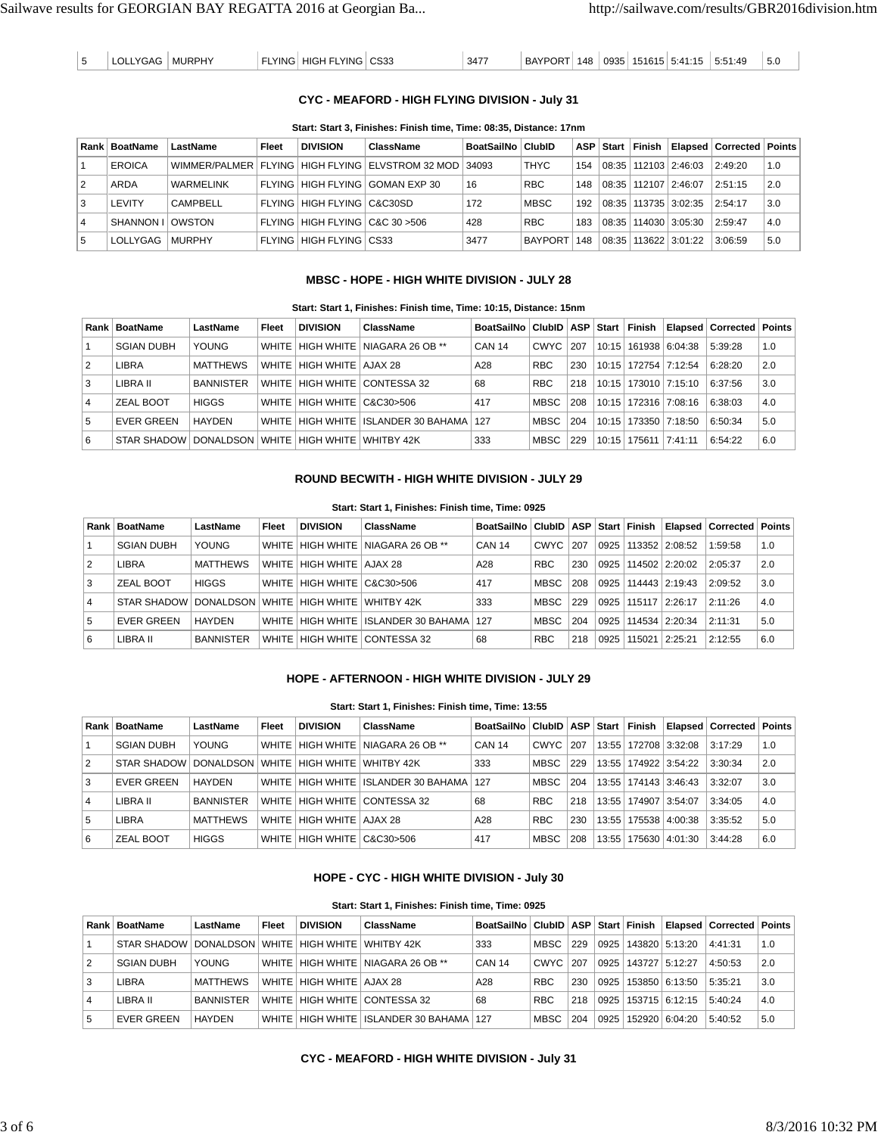| <b>BAYPORT</b><br>CS33<br>3477<br>` HIGH FLYING   .<br>5:41:15<br><b>MURPHY</b><br>0935<br>148<br>.YING<br>151615<br>LYGAC<br>$\overline{\phantom{a}}$<br>ᅛ<br>- 11 | 5:51<br>:49<br>5.1 |
|---------------------------------------------------------------------------------------------------------------------------------------------------------------------|--------------------|
|---------------------------------------------------------------------------------------------------------------------------------------------------------------------|--------------------|

# **CYC - MEAFORD - HIGH FLYING DIVISION - July 31**

#### **Start: Start 3, Finishes: Finish time, Time: 08:35, Distance: 17nm**

|   | Rank   BoatName | LastName         | Fleet | <b>DIVISION</b>                 | ClassName                                                      | BoatSailNo   ClubID |                | ASP I | Start | Finish |                            | Elapsed   Corrected   Points |     |
|---|-----------------|------------------|-------|---------------------------------|----------------------------------------------------------------|---------------------|----------------|-------|-------|--------|----------------------------|------------------------------|-----|
|   | <b>EROICA</b>   |                  |       |                                 | WIMMER/PALMER   FLYING   HIGH FLYING   ELVSTROM 32 MOD   34093 |                     | <b>THYC</b>    | 154   | 08:35 |        | 112103 2:46:03             | 2:49:20                      | 1.0 |
| 2 | ARDA            | <b>WARMELINK</b> |       |                                 | FLYING HIGH FLYING I GOMAN EXP 30                              | 16                  | <b>RBC</b>     | 148   |       |        | $08:35$   112107   2:46:07 | 2:51:15                      | 2.0 |
| 3 | LEVITY          | CAMPBELL         |       | FLYING HIGH FLYING C&C30SD      |                                                                | 172                 | <b>MBSC</b>    | 192   | 08:35 |        | 113735   3:02:35           | 2:54:17                      | 3.0 |
| 4 | <b>SHANNON</b>  | OWSTON           |       | FLYING HIGH FLYING C&C 30 > 506 |                                                                | 428                 | <b>RBC</b>     | 183   | 08:35 |        | 114030   3:05:30           | 2:59:47                      | 4.0 |
| 5 | LOLLYGAG        | <b>MURPHY</b>    |       | FLYING HIGH FLYING CS33         |                                                                | 3477                | <b>BAYPORT</b> | 148   | 08:35 |        | 113622 3:01:22             | 3:06:59                      | 5.0 |

## **MBSC - HOPE - HIGH WHITE DIVISION - JULY 28**

## **Start: Start 1, Finishes: Finish time, Time: 10:15, Distance: 15nm**

|                | Rank   BoatName   | LastName         | Fleet        | <b>DIVISION</b>        | ClassName                             | BoatSailNo   ClubID   ASP   Start   Finish |             |     |                          |                          | Elapsed   Corrected   Points |     |
|----------------|-------------------|------------------|--------------|------------------------|---------------------------------------|--------------------------------------------|-------------|-----|--------------------------|--------------------------|------------------------------|-----|
|                | <b>SGIAN DUBH</b> | <b>YOUNG</b>     | WHITE        |                        | HIGH WHITE   NIAGARA 26 OB **         | CAN 14                                     | <b>CWYC</b> | 207 |                          | 10:15   161938   6:04:38 | 5:39:28                      | 1.0 |
| $\overline{2}$ | LIBRA             | <b>MATTHEWS</b>  | WHITE        | HIGH WHITE   AJAX 28   |                                       | A28                                        | <b>RBC</b>  | 230 |                          | 10:15   172754   7:12:54 | 6:28:20                      | 2.0 |
| 3              | LIBRA II          | <b>BANNISTER</b> | <b>WHITE</b> |                        | HIGH WHITE CONTESSA 32                | 68                                         | <b>RBC</b>  | 218 |                          | 10:15   173010   7:15:10 | 6:37:56                      | 3.0 |
| $\overline{4}$ | ZEAL BOOT         | <b>HIGGS</b>     | WHITE I      | HIGH WHITE   C&C30>506 |                                       | 417                                        | <b>MBSC</b> | 208 |                          | 10:15   172316   7:08:16 | 6:38:03                      | 4.0 |
| 15             | <b>EVER GREEN</b> | HAYDEN           | WHITE        |                        | HIGH WHITE   ISLANDER 30 BAHAMA   127 |                                            | <b>MBSC</b> | 204 | 10:15   173350   7:18:50 |                          | 6:50:34                      | 5.0 |
| 6              | STAR SHADOW       | DONALDSON        | WHITE        | HIGH WHITE             | <b>WHITRY 42K</b>                     | 333                                        | <b>MBSC</b> | 229 | 10:15   175611           | 7:41:11                  | 6:54:22                      | 6.0 |

## **ROUND BECWITH - HIGH WHITE DIVISION - JULY 29**

#### **Start: Start 1, Finishes: Finish time, Time: 0925**

|                | Rank   BoatName   | LastName                              | Fleet | <b>DIVISION</b>              | ClassName                                     | BoatSailNo   ClubID   ASP   Start   Finish |             |     |      |                         |                         | Elapsed   Corrected   Points |     |
|----------------|-------------------|---------------------------------------|-------|------------------------------|-----------------------------------------------|--------------------------------------------|-------------|-----|------|-------------------------|-------------------------|------------------------------|-----|
|                | <b>SGIAN DUBH</b> | <b>YOUNG</b>                          |       |                              | WHITE HIGH WHITE NIAGARA 26 OB **             | <b>CAN 14</b>                              | CWYC   207  |     | 0925 |                         | 113352 2:08:52          | 1:59:58                      | 1.0 |
| 2              | LIBRA             | <b>MATTHEWS</b>                       |       | WHITE   HIGH WHITE   AJAX 28 |                                               | A28                                        | <b>RBC</b>  | 230 |      |                         | 0925   114502   2:20:02 | 2:05:37                      | 2.0 |
| 3              | ZEAL BOOT         | <b>HIGGS</b>                          |       | WHITE HIGH WHITE C&C30>506   |                                               | 417                                        | <b>MBSC</b> | 208 |      |                         | 0925   114443   2:19:43 | 2:09:52                      | 3.0 |
| $\overline{4}$ | STAR SHADOW       | DONALDSON WHITE HIGH WHITE WHITBY 42K |       |                              |                                               | 333                                        | <b>MBSC</b> | 229 |      | 0925   115117   2:26:17 |                         | 2:11:26                      | 4.0 |
| 5              | <b>EVER GREEN</b> | <b>HAYDEN</b>                         |       |                              | WHITE   HIGH WHITE   ISLANDER 30 BAHAMA   127 |                                            | MBSC        | 204 | 0925 |                         | 114534 2:20:34          | 2:11:31                      | 5.0 |
| 6              | LIBRA II          | <b>BANNISTER</b>                      |       |                              | WHITE HIGH WHITE CONTESSA 32                  | 68                                         | <b>RBC</b>  | 218 | 0925 | 115021                  | 12:25:21                | 2:12:55                      | 6.0 |

# **HOPE - AFTERNOON - HIGH WHITE DIVISION - JULY 29**

#### **Start: Start 1, Finishes: Finish time, Time: 13:55**

|   | Rank   BoatName       | LastName         | Fleet | <b>DIVISION</b>              | ClassName                                     | BoatSailNo   ClubID   ASP |             |     | Start | Finish |                | Elapsed   Corrected   Points |     |
|---|-----------------------|------------------|-------|------------------------------|-----------------------------------------------|---------------------------|-------------|-----|-------|--------|----------------|------------------------------|-----|
|   | <b>SGIAN DUBH</b>     | YOUNG            |       |                              | WHITE   HIGH WHITE   NIAGARA 26 OB **         | CAN 14                    | <b>CWYC</b> | 207 | 13:55 |        | 172708 3:32:08 | 3:17:29                      | 1.0 |
| 2 | STAR SHADOW DONALDSON |                  |       | WHITE HIGH WHITE WHITBY 42K  |                                               | 333                       | <b>MBSC</b> | 229 | 13:55 |        | 174922 3:54:22 | 3:30:34                      | 2.0 |
| 3 | EVER GREEN            | HAYDEN           |       |                              | WHITE   HIGH WHITE   ISLANDER 30 BAHAMA   127 |                           | <b>MBSC</b> | 204 | 13:55 |        | 174143 3:46:43 | 3:32:07                      | 3.0 |
| 4 | LIBRA II              | <b>BANNISTER</b> |       |                              | WHITE HIGH WHITE CONTESSA 32                  | 68                        | <b>RBC</b>  | 218 | 13:55 | 174907 | 3:54:07        | 3:34:05                      | 4.0 |
| 5 | LIBRA                 | <b>MATTHEWS</b>  |       | WHITE   HIGH WHITE   AJAX 28 |                                               | A28                       | <b>RBC</b>  | 230 | 13:55 | 175538 | 4:00:38        | 3:35:52                      | 5.0 |
| 6 | ZEAL BOOT             | <b>HIGGS</b>     |       | WHITE HIGH WHITE C&C30>506   |                                               | 417                       | <b>MBSC</b> | 208 | 13:55 | 175630 | 4:01:30        | 3:44:28                      | 6.0 |

## **HOPE - CYC - HIGH WHITE DIVISION - July 30**

|   | Rank   BoatName   | LastName         | Fleet   | <b>DIVISION</b>                 | ClassName                             | BoatSailNo   ClubID   ASP   Start   Finish |            |     |      |                |                  | <b>Elapsed   Corrected   Points</b> |     |
|---|-------------------|------------------|---------|---------------------------------|---------------------------------------|--------------------------------------------|------------|-----|------|----------------|------------------|-------------------------------------|-----|
|   | STAR SHADOW I     | DONALDSON        |         | WHITE   HIGH WHITE   WHITBY 42K |                                       | 333                                        | MBSC       | 229 | 0925 | 143820 5:13:20 |                  | 4:41:31                             | 1.0 |
| 2 | <b>SGIAN DUBH</b> | <b>YOUNG</b>     |         |                                 | WHITE HIGH WHITE NIAGARA 26 OB **     | <b>CAN 14</b>                              | CWYC 1207  |     | 0925 | 143727 5:12:27 |                  | 4:50:53                             | 2.0 |
| 3 | LIBRA             | <b>MATTHEWS</b>  |         | WHITE   HIGH WHITE   AJAX 28    |                                       | A28                                        | <b>RBC</b> | 230 | 0925 |                | 153850   6:13:50 | 5:35:21                             | 3.0 |
| 4 | LIBRA II          | <b>BANNISTER</b> | WHITF I |                                 | HIGH WHITE   CONTESSA 32              | 68                                         | <b>RBC</b> | 218 | 0925 |                | 153715 6:12:15   | 5:40:24                             | 4.0 |
| 5 | <b>EVER GREEN</b> | <b>HAYDEN</b>    | WHITE I |                                 | HIGH WHITE   ISLANDER 30 BAHAMA   127 |                                            | MBSC       | 204 | 0925 | 152920 6:04:20 |                  | 5:40:52                             | 5.0 |

# **CYC - MEAFORD - HIGH WHITE DIVISION - July 31**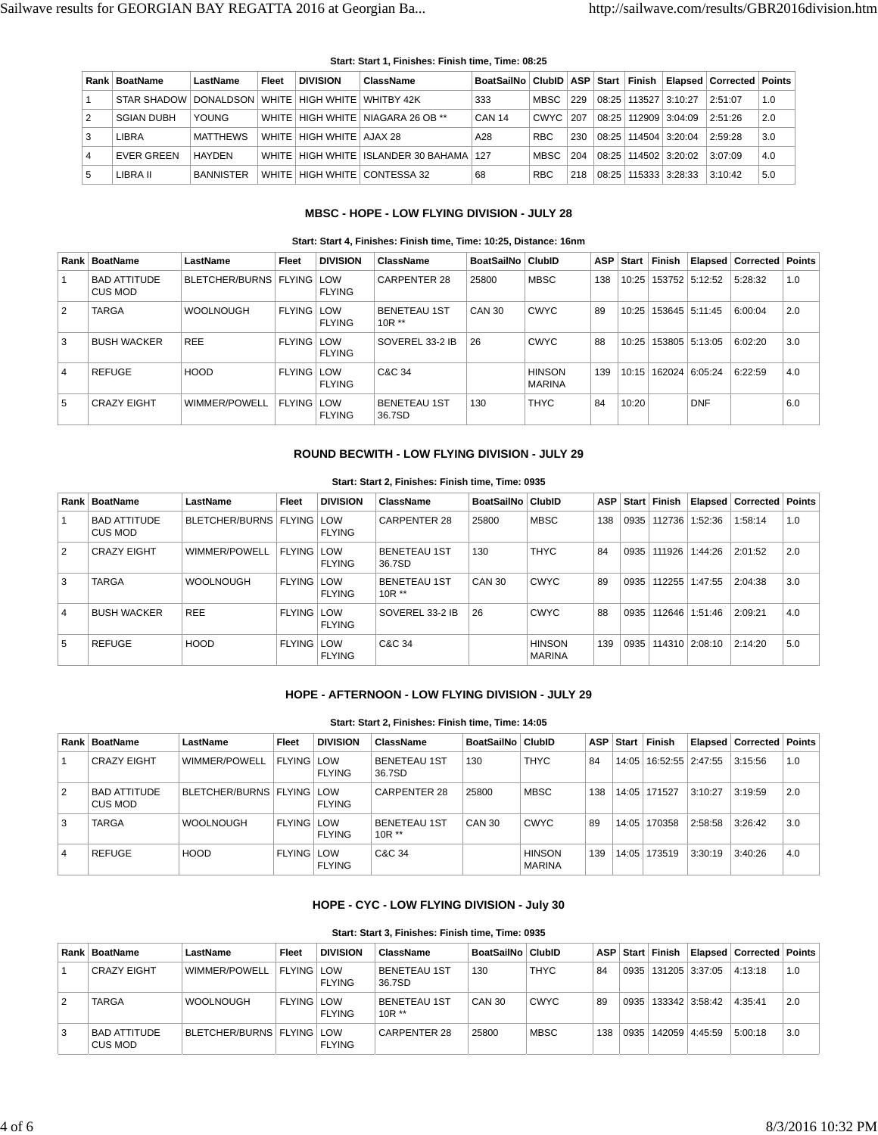|   | Rank   BoatName         | LastName         | Fleet   | <b>DIVISION</b>                 | ClassName                               | BoatSailNo   ClubID   ASP   Start |             |     |       | Finish |                  | Elapsed   Corrected   Points |     |
|---|-------------------------|------------------|---------|---------------------------------|-----------------------------------------|-----------------------------------|-------------|-----|-------|--------|------------------|------------------------------|-----|
|   | STAR SHADOW   DONALDSON |                  |         | WHITE   HIGH WHITE   WHITBY 42K |                                         | 333                               | <b>MBSC</b> | 229 | 08:25 |        | 113527 3:10:27   | 2:51:07                      | 1.0 |
| 2 | <b>SGIAN DUBH</b>       | YOUNG            | WHITE I |                                 | HIGH WHITE NIAGARA 26 OB **             | <b>CAN 14</b>                     | CWYC   207  |     | 08:25 |        | $112909$ 3:04:09 | 2:51:26                      | 2.0 |
| 3 | LIBRA                   | <b>MATTHEWS</b>  |         | WHITE   HIGH WHITE   AJAX 28    |                                         | A28                               | <b>RBC</b>  | 230 | 08:25 |        | 114504 3:20:04   | 2:59:28                      | 3.0 |
| 4 | <b>EVER GREEN</b>       | HAYDEN           |         |                                 | WHITE HIGH WHITE ISLANDER 30 BAHAMA 127 |                                   | <b>MBSC</b> | 204 | 08:25 |        | 114502 3:20:02   | 3:07:09                      | 4.0 |
| 5 | LIBRA II                | <b>BANNISTER</b> | WHITF   |                                 | HIGH WHITE   CONTESSA 32                | 68                                | <b>RBC</b>  | 218 | 08:25 |        | 115333 3:28:33   | 3:10:42                      | 5.0 |

#### **Start: Start 1, Finishes: Finish time, Time: 08:25**

# **MBSC - HOPE - LOW FLYING DIVISION - JULY 28**

#### **Start: Start 4, Finishes: Finish time, Time: 10:25, Distance: 16nm**

| Rank           | <b>BoatName</b>                | LastName                      | <b>Fleet</b>      | <b>DIVISION</b>             | ClassName                      | BoatSailNo   ClubID |                                | <b>ASP</b> | ⊪ Start | <b>Finish</b> |                | Elapsed   Corrected   Points |     |
|----------------|--------------------------------|-------------------------------|-------------------|-----------------------------|--------------------------------|---------------------|--------------------------------|------------|---------|---------------|----------------|------------------------------|-----|
|                | <b>BAD ATTITUDE</b><br>CUS MOD | BLETCHER/BURNS   FLYING   LOW |                   | <b>FLYING</b>               | <b>CARPENTER 28</b>            | 25800               | <b>MBSC</b>                    | 138        | 10:25   |               | 153752 5:12:52 | 5:28:32                      | 1.0 |
| $\overline{2}$ | <b>TARGA</b>                   | <b>WOOLNOUGH</b>              | <b>FLYING</b>     | LOW<br><b>FLYING</b>        | <b>BENETEAU 1ST</b><br>$10R**$ | <b>CAN 30</b>       | <b>CWYC</b>                    | 89         | 10:25   |               | 153645 5:11:45 | 6:00:04                      | 2.0 |
| 3              | <b>BUSH WACKER</b>             | <b>REE</b>                    | <b>FLYING</b>     | <b>LOW</b><br><b>FLYING</b> | SOVEREL 33-2 IB                | 26                  | <b>CWYC</b>                    | 88         | 10:25   |               | 153805 5:13:05 | 6:02:20                      | 3.0 |
| $\overline{4}$ | <b>REFUGE</b>                  | <b>HOOD</b>                   | <b>FLYING</b>     | LOW<br><b>FLYING</b>        | C&C 34                         |                     | <b>HINSON</b><br><b>MARINA</b> | 139        | 10:15   |               | 162024 6:05:24 | 6:22:59                      | 4.0 |
| 5              | <b>CRAZY EIGHT</b>             | WIMMER/POWELL                 | <b>FLYING LOW</b> | <b>FLYING</b>               | <b>BENETEAU 1ST</b><br>36.7SD  | 130                 | <b>THYC</b>                    | 84         | 10:20   |               | <b>DNF</b>     |                              | 6.0 |

## **ROUND BECWITH - LOW FLYING DIVISION - JULY 29**

|                | Rank   BoatName                | LastName                      | <b>Fleet</b>      | <b>DIVISION</b> | ClassName                      | BoatSailNo   ClubID |                                |     |      | ASP Start Finish |                | <b>Elapsed Corrected Points</b> |     |
|----------------|--------------------------------|-------------------------------|-------------------|-----------------|--------------------------------|---------------------|--------------------------------|-----|------|------------------|----------------|---------------------------------|-----|
|                | <b>BAD ATTITUDE</b><br>CUS MOD | BLETCHER/BURNS   FLYING   LOW |                   | <b>FLYING</b>   | CARPENTER 28                   | 25800               | <b>MBSC</b>                    | 138 | 0935 | 112736           | 1:52:36        | 1:58:14                         | 1.0 |
| $\overline{2}$ | <b>CRAZY EIGHT</b>             | WIMMER/POWELL                 | FLYING LOW        | <b>FLYING</b>   | <b>BENETEAU 1ST</b><br>36.7SD  | 130                 | <b>THYC</b>                    | 84  | 0935 | 111926           | 1:44:26        | 2:01:52                         | 2.0 |
| 3              | <b>TARGA</b>                   | <b>WOOLNOUGH</b>              | <b>FLYING LOW</b> | FLYING          | <b>BENETEAU 1ST</b><br>$10R**$ | CAN 30              | <b>CWYC</b>                    | 89  | 0935 | 112255           | 1:47:55        | 2:04:38                         | 3.0 |
| $\overline{4}$ | <b>BUSH WACKER</b>             | <b>REE</b>                    | <b>FLYING LOW</b> | <b>FLYING</b>   | SOVEREL 33-2 IB                | 26                  | <b>CWYC</b>                    | 88  | 0935 | 112646           | 1:51:46        | 2:09:21                         | 4.0 |
| 5              | <b>REFUGE</b>                  | <b>HOOD</b>                   | FLYING LOW        | <b>FLYING</b>   | C&C 34                         |                     | <b>HINSON</b><br><b>MARINA</b> | 139 | 0935 |                  | 114310 2:08:10 | 2:14:20                         | 5.0 |

#### **Start: Start 2, Finishes: Finish time, Time: 0935**

# **HOPE - AFTERNOON - LOW FLYING DIVISION - JULY 29**

#### **Start: Start 2, Finishes: Finish time, Time: 14:05**

|                | Rank   BoatName                | LastName                      | Fleet             | <b>DIVISION</b> | ClassName                      | BoatSailNo   ClubID |                                | <b>ASP</b> | Start | Finish           |         | <b>Elapsed   Corrected   Points  </b> |     |
|----------------|--------------------------------|-------------------------------|-------------------|-----------------|--------------------------------|---------------------|--------------------------------|------------|-------|------------------|---------|---------------------------------------|-----|
|                | <b>CRAZY EIGHT</b>             | WIMMER/POWELL                 | <b>FLYING LOW</b> | <b>FLYING</b>   | <b>BENETEAU 1ST</b><br>36.7SD  | 130                 | <b>THYC</b>                    | 84         | 14:05 | 16:52:55 2:47:55 |         | 3:15:56                               | 1.0 |
| $\overline{2}$ | <b>BAD ATTITUDE</b><br>CUS MOD | BLETCHER/BURNS   FLYING   LOW |                   | <b>FLYING</b>   | CARPENTER 28                   | 25800               | <b>MBSC</b>                    | 138        |       | 14:05   171527   | 3:10:27 | 3:19:59                               | 2.0 |
| 3              | <b>TARGA</b>                   | <b>WOOLNOUGH</b>              | <b>FLYING LOW</b> | <b>FLYING</b>   | <b>BENETEAU 1ST</b><br>$10R**$ | CAN 30              | <b>CWYC</b>                    | 89         | 14:05 | 170358           | 2:58:58 | 3:26:42                               | 3.0 |
| $\overline{4}$ | <b>REFUGE</b>                  | <b>HOOD</b>                   | <b>FLYING LOW</b> | <b>FLYING</b>   | C&C 34                         |                     | <b>HINSON</b><br><b>MARINA</b> | 139        | 14:05 | 173519           | 3:30:19 | 3:40:26                               | 4.0 |

# **HOPE - CYC - LOW FLYING DIVISION - July 30**

#### **Start: Start 3, Finishes: Finish time, Time: 0935**

|   | Rank   BoatName                | LastName                      | Fleet             | <b>DIVISION</b> | <b>ClassName</b>               | BoatSailNo ClubID |             |     |      | ASP Start Finish        |                | Elapsed   Corrected   Points |     |
|---|--------------------------------|-------------------------------|-------------------|-----------------|--------------------------------|-------------------|-------------|-----|------|-------------------------|----------------|------------------------------|-----|
|   | <b>CRAZY EIGHT</b>             | WIMMER/POWELL                 | <b>FLYING LOW</b> | <b>FLYING</b>   | <b>BENETEAU 1ST</b><br>36.7SD  | 130               | <b>THYC</b> | 84  |      | 0935   131205   3:37:05 |                | 4:13:18                      | 1.0 |
|   | <b>TARGA</b>                   | <b>WOOLNOUGH</b>              | <b>FLYING LOW</b> | <b>FLYING</b>   | <b>BENETEAU 1ST</b><br>$10R**$ | <b>CAN 30</b>     | <b>CWYC</b> | 89  |      | 0935   133342   3:58:42 |                | 4:35:41                      | 2.0 |
| 3 | <b>BAD ATTITUDE</b><br>CUS MOD | BLETCHER/BURNS   FLYING   LOW |                   | <b>FLYING</b>   | <b>CARPENTER 28</b>            | 25800             | <b>MBSC</b> | 138 | 0935 |                         | 142059 4:45:59 | 5:00:18                      | 3.0 |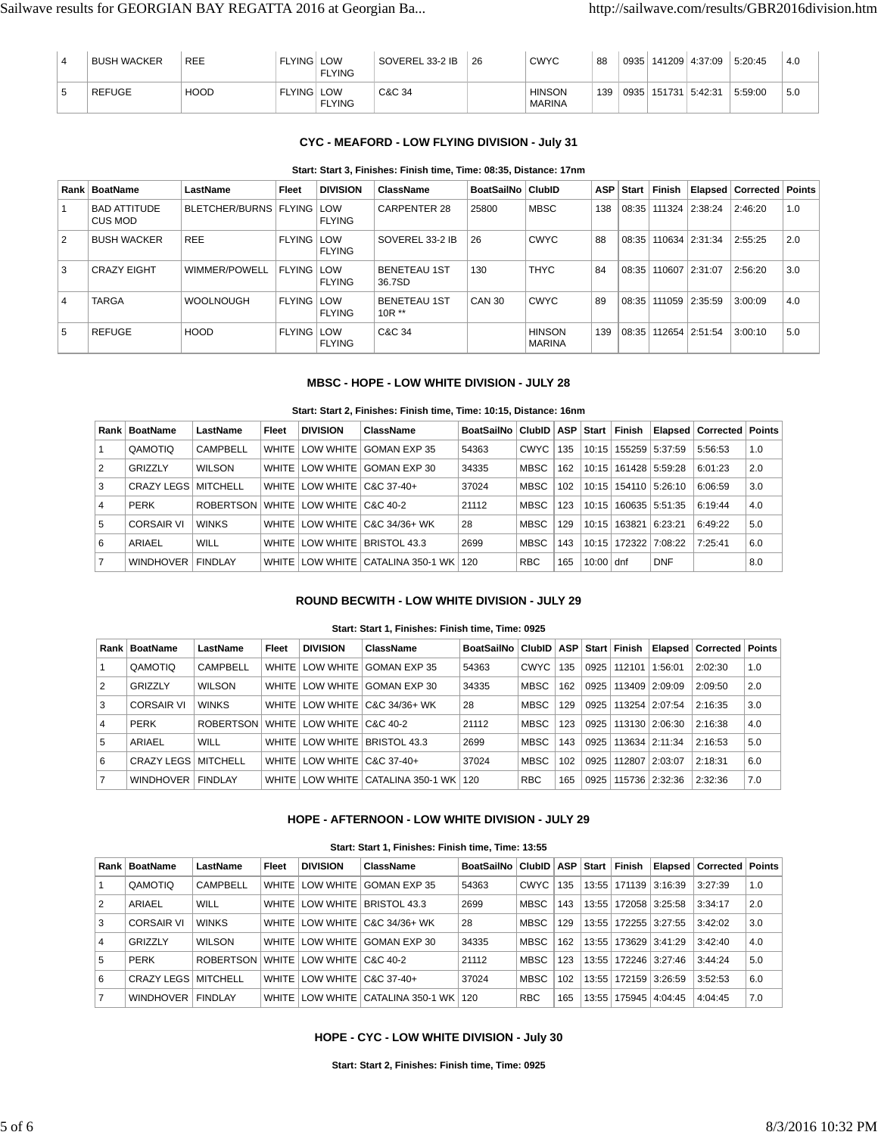| 4 | <b>BUSH WACKER</b> | <b>REE</b>  | <b>FLYING LOW</b> | <b>FLYING</b> | SOVEREL 33-2 IB | 26 | <b>CWYC</b>                    | 88  | 0935          | 141209 4:37:09 | 5:20:45 | 4.0 |
|---|--------------------|-------------|-------------------|---------------|-----------------|----|--------------------------------|-----|---------------|----------------|---------|-----|
|   | <b>REFUGE</b>      | <b>HOOD</b> | <b>FLYING LOW</b> | <b>FLYING</b> | C&C 34          |    | <b>HINSON</b><br><b>MARINA</b> | 139 | $\sqrt{0935}$ | 151731 5:42:31 | 5:59:00 | 5.0 |

# **CYC - MEAFORD - LOW FLYING DIVISION - July 31**

#### **Start: Start 3, Finishes: Finish time, Time: 08:35, Distance: 17nm**

|   | Rank   BoatName                | LastName                      | <b>Fleet</b>      | <b>DIVISION</b> | <b>ClassName</b>               | BoatSailNo   ClubID |                                | ASP | Start | Finish |                | <b>Elapsed Corrected Points</b> |     |
|---|--------------------------------|-------------------------------|-------------------|-----------------|--------------------------------|---------------------|--------------------------------|-----|-------|--------|----------------|---------------------------------|-----|
|   | <b>BAD ATTITUDE</b><br>CUS MOD | BLETCHER/BURNS   FLYING   LOW |                   | <b>FLYING</b>   | <b>CARPENTER 28</b>            | 25800               | <b>MBSC</b>                    | 138 | 08:35 |        | 111324 2:38:24 | 2:46:20                         | 1.0 |
| 2 | <b>BUSH WACKER</b>             | <b>REE</b>                    | <b>FLYING LOW</b> | <b>FLYING</b>   | SOVEREL 33-2 IB                | 26                  | <b>CWYC</b>                    | 88  | 08:35 |        | 110634 2:31:34 | 2:55:25                         | 2.0 |
| 3 | <b>CRAZY EIGHT</b>             | WIMMER/POWELL                 | <b>FLYING LOW</b> | <b>FLYING</b>   | <b>BENETEAU 1ST</b><br>36.7SD  | 130                 | <b>THYC</b>                    | 84  | 08:35 |        | 110607 2:31:07 | 2:56:20                         | 3.0 |
| 4 | <b>TARGA</b>                   | <b>WOOLNOUGH</b>              | <b>FLYING LOW</b> | <b>FLYING</b>   | <b>BENETEAU 1ST</b><br>$10R**$ | CAN 30              | <b>CWYC</b>                    | 89  | 08:35 |        | 111059 2:35:59 | 3:00:09                         | 4.0 |
| 5 | <b>REFUGE</b>                  | <b>HOOD</b>                   | <b>FLYING LOW</b> | <b>FLYING</b>   | C&C 34                         |                     | <b>HINSON</b><br><b>MARINA</b> | 139 | 08:35 |        | 112654 2:51:54 | 3:00:10                         | 5.0 |

## **MBSC - HOPE - LOW WHITE DIVISION - JULY 28**

## **Start: Start 2, Finishes: Finish time, Time: 10:15, Distance: 16nm**

|                | Rank   BoatName            | LastName       | Fleet | <b>DIVISION</b>            | ClassName                             | BoatSailNo   ClubID   ASP   Start |             |     |             | Finish |                          | <b>Elapsed Corrected Points</b> |     |
|----------------|----------------------------|----------------|-------|----------------------------|---------------------------------------|-----------------------------------|-------------|-----|-------------|--------|--------------------------|---------------------------------|-----|
|                | QAMOTIO                    | CAMPBELL       |       | WHITE   LOW WHITE          | GOMAN EXP 35                          | 54363                             | <b>CWYC</b> | 135 | 10:15       | 155259 | 15:37:59                 | 5:56:53                         | 1.0 |
| 2              | GRIZZLY                    | <b>WILSON</b>  |       |                            | WHITE LOW WHITE GOMAN EXP 30          | 34335                             | <b>MBSC</b> | 162 |             |        | 10:15   161428   5:59:28 | 6:01:23                         | 2.0 |
| 3              | <b>CRAZY LEGS MITCHELL</b> |                |       | WHITE LOW WHITE C&C 37-40+ |                                       | 37024                             | MBSC        | 102 |             |        | 10:15   154110   5:26:10 | 6:06:59                         | 3.0 |
| $\overline{4}$ | <b>PERK</b>                | ROBERTSON      |       | WHITE LOW WHITE C&C 40-2   |                                       | 21112                             | <b>MBSC</b> | 123 | 10:15       |        | 160635 5:51:35           | 6:19:44                         | 4.0 |
| 5              | <b>CORSAIR VI</b>          | <b>WINKS</b>   |       |                            | WHITE LOW WHITE C&C 34/36+ WK         | 28                                | MBSC        | 129 | 10:15       | 163821 | 6:23:21                  | 6:49:22                         | 5.0 |
| 6              | ARIAEL                     | WILL           |       |                            | WHITE LOW WHITE BRISTOL 43.3          | 2699                              | MBSC        | 143 |             |        | 10:15   172322   7:08:22 | 7:25:41                         | 6.0 |
| $\overline{7}$ | <b>WINDHOVER</b>           | <b>FINDLAY</b> |       |                            | WHITE LOW WHITE CATALINA 350-1 WK 120 |                                   | <b>RBC</b>  | 165 | $10:00$ dnf |        | <b>DNF</b>               |                                 | 8.0 |

#### **ROUND BECWITH - LOW WHITE DIVISION - JULY 29**

#### **Start: Start 1, Finishes: Finish time, Time: 0925**

| Rank | <b>BoatName</b>            | LastName                    | Fleet        | <b>DIVISION</b>            | ClassName                             | <b>BoatSailNo</b> | ClubID      | ASP | Start | Finish |                | <b>Elapsed Corrected Points</b> |     |
|------|----------------------------|-----------------------------|--------------|----------------------------|---------------------------------------|-------------------|-------------|-----|-------|--------|----------------|---------------------------------|-----|
|      | QAMOTIO                    | <b>CAMPBELL</b>             | <b>WHITE</b> | LOW WHITE                  | GOMAN EXP 35                          | 54363             | <b>CWYC</b> | 135 | 0925  | 112101 | 1:56:01        | 2:02:30                         | 1.0 |
| 2    | GRIZZLY                    | <b>WILSON</b>               |              |                            | WHITE LOW WHITE GOMAN EXP 30          | 34335             | <b>MBSC</b> | 162 | 0925  |        | 113409 2:09:09 | 2:09:50                         | 2.0 |
| 3    | <b>CORSAIR VI</b>          | <b>WINKS</b>                |              |                            | WHITE LOW WHITE C&C 34/36+ WK         | 28                | <b>MBSC</b> | 129 | 0925  |        | 113254 2:07:54 | 2:16:35                         | 3.0 |
| 4    | <b>PERK</b>                | ROBERTSON WHITE LOW WHITE L |              |                            | C&C 40-2                              | 21112             | <b>MBSC</b> | 123 | 0925  |        | 113130 2:06:30 | 2:16:38                         | 4.0 |
| 5    | ARIAEL                     | <b>WILL</b>                 | WHITE I      | LOW WHITE                  | BRISTOL 43.3                          | 2699              | <b>MBSC</b> | 143 | 0925  |        | 113634 2:11:34 | 2:16:53                         | 5.0 |
| 6    | <b>CRAZY LEGS MITCHELL</b> |                             |              | WHITE LOW WHITE C&C 37-40+ |                                       | 37024             | <b>MBSC</b> | 102 | 0925  | 112807 | 2:03:07        | 2:18:31                         | 6.0 |
|      | <b>WINDHOVER</b>           | <b>FINDLAY</b>              |              |                            | WHITE LOW WHITE CATALINA 350-1 WK 120 |                   | <b>RBC</b>  | 165 | 0925  |        | 115736 2:32:36 | 2:32:36                         | 7.0 |

# **HOPE - AFTERNOON - LOW WHITE DIVISION - JULY 29**

| Start: Start 1, Finishes: Finish time, Time: 13:55 |  |  |
|----------------------------------------------------|--|--|

|   | Rank   BoatName            | LastName        | Fleet   | <b>DIVISION</b>                | ClassName                         | BoatSailNo | ∣ ClubID ∣  | <b>ASP</b> | Start | Finish         |          | Elapsed   Corrected   Points |     |
|---|----------------------------|-----------------|---------|--------------------------------|-----------------------------------|------------|-------------|------------|-------|----------------|----------|------------------------------|-----|
|   | QAMOTIQ                    | <b>CAMPBELL</b> | WHITE   | LOW WHITE I                    | GOMAN EXP 35                      | 54363      | <b>CWYC</b> | 135        | 13:55 | 171139         | 3:16:39  | 3:27:39                      | 1.0 |
| 2 | ARIAEL                     | WILL            | WHITE I |                                | LOW WHITE   BRISTOL 43.3          | 2699       | <b>MBSC</b> | 143        | 13:55 | 172058         | 13:25:58 | 3:34:17                      | 2.0 |
| 3 | <b>CORSAIR VI</b>          | <b>WINKS</b>    |         |                                | WHITE LOW WHITE C&C 34/36+ WK     | 28         | <b>MBSC</b> | 129        | 13:55 | 172255 3:27:55 |          | 3:42:02                      | 3.0 |
| 4 | GRIZZLY                    | <b>WILSON</b>   | WHITE   |                                | LOW WHITE GOMAN EXP 30            | 34335      | <b>MBSC</b> | 162        | 13:55 | 173629 3:41:29 |          | 3:42:40                      | 4.0 |
| 5 | <b>PERK</b>                | ROBERTSON       |         | WHITE LOW WHITE   C&C 40-2     |                                   | 21112      | <b>MBSC</b> | 123        | 13:55 | 172246 3:27:46 |          | 3:44:24                      | 5.0 |
| 6 | <b>CRAZY LEGS MITCHELL</b> |                 |         | WHITE   LOW WHITE   C&C 37-40+ |                                   | 37024      | <b>MBSC</b> | 102        | 13:55 | 172159 3:26:59 |          | 3:52:53                      | 6.0 |
| 7 | <b>WINDHOVER</b>           | <b>FINDI AY</b> |         |                                | WHITE LOW WHITE CATALINA 350-1 WK | 120        | <b>RBC</b>  | 165        | 13:55 | 175945         | 4:04:45  | 4:04:45                      | 7.0 |

## **HOPE - CYC - LOW WHITE DIVISION - July 30**